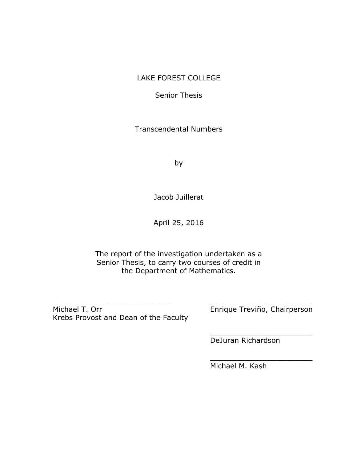## LAKE FOREST COLLEGE

Senior Thesis

Transcendental Numbers

by

Jacob Juillerat

April 25, 2016

The report of the investigation undertaken as a Senior Thesis, to carry two courses of credit in the Department of Mathematics.

\_\_\_\_\_\_\_\_\_\_\_\_\_\_\_\_\_\_\_\_\_\_\_\_\_\_ \_\_\_\_\_\_\_\_\_\_\_\_\_\_\_\_\_\_\_\_\_\_\_

Michael T. Orr **Enrique Treviño, Chairperson** Krebs Provost and Dean of the Faculty

\_\_\_\_\_\_\_\_\_\_\_\_\_\_\_\_\_\_\_\_\_\_\_

\_\_\_\_\_\_\_\_\_\_\_\_\_\_\_\_\_\_\_\_\_\_\_

DeJuran Richardson

Michael M. Kash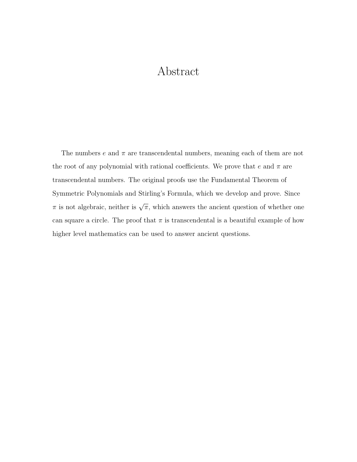# Abstract

The numbers  $e$  and  $\pi$  are transcendental numbers, meaning each of them are not the root of any polynomial with rational coefficients. We prove that e and  $\pi$  are transcendental numbers. The original proofs use the Fundamental Theorem of Symmetric Polynomials and Stirling's Formula, which we develop and prove. Since  $\pi$  is not algebraic, neither is  $\sqrt{\pi}$ , which answers the ancient question of whether one can square a circle. The proof that  $\pi$  is transcendental is a beautiful example of how higher level mathematics can be used to answer ancient questions.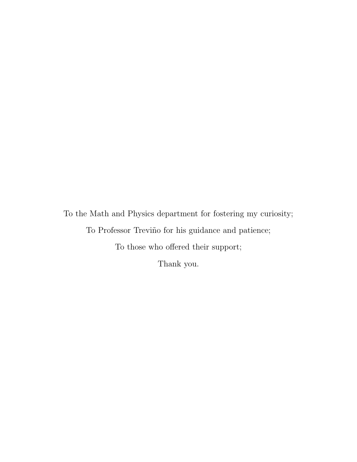To the Math and Physics department for fostering my curiosity; To Professor Treviño for his guidance and patience; To those who offered their support; Thank you.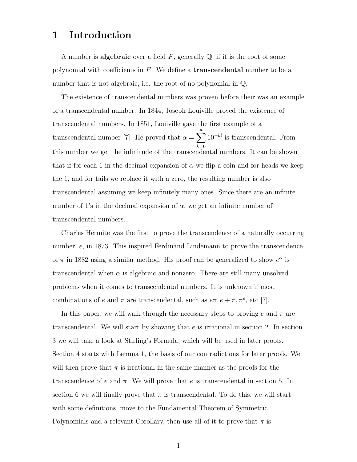## 1 Introduction

A number is **algebraic** over a field  $F$ , generally  $\mathbb{Q}$ , if it is the root of some polynomial with coefficients in  $F$ . We define a **transcendental** number to be a number that is not algebraic, i.e. the root of no polynomial in Q.

The existence of transcendental numbers was proven before their was an example of a transcendental number. In 1844, Joseph Louiville proved the existence of transcendental numbers. In 1851, Louiville gave the first example of a transcendental number [7]. He proved that  $\alpha = \sum_{n=1}^{\infty}$  $k=0$  $10^{-k!}$  is transcendental. From this number we get the infinitude of the transcendental numbers. It can be shown that if for each 1 in the decimal expansion of  $\alpha$  we flip a coin and for heads we keep the 1, and for tails we replace it with a zero, the resulting number is also transcendental assuming we keep infinitely many ones. Since there are an infinite number of 1's in the decimal expansion of  $\alpha$ , we get an infinite number of transcendental numbers.

Charles Hermite was the first to prove the transcendence of a naturally occurring number, e, in 1873. This inspired Ferdinand Lindemann to prove the transcendence of  $\pi$  in 1882 using a similar method. His proof can be generalized to show  $e^{\alpha}$  is transcendental when  $\alpha$  is algebraic and nonzero. There are still many unsolved problems when it comes to transcendental numbers. It is unknown if most combinations of e and  $\pi$  are transcendental, such as  $e\pi, e + \pi, \pi^e$ , etc [7].

In this paper, we will walk through the necessary steps to proving e and  $\pi$  are transcendental. We will start by showing that  $e$  is irrational in section 2. In section 3 we will take a look at Stirling's Formula, which will be used in later proofs. Section 4 starts with Lemma 1, the basis of our contradictions for later proofs. We will then prove that  $\pi$  is irrational in the same manner as the proofs for the transcendence of e and  $\pi$ . We will prove that e is transcendental in section 5. In section 6 we will finally prove that  $\pi$  is transcendental. To do this, we will start with some definitions, move to the Fundamental Theorem of Symmetric Polynomials and a relevant Corollary, then use all of it to prove that  $\pi$  is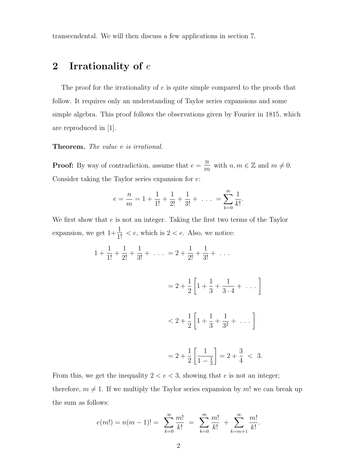transcendental. We will then discuss a few applications in section 7.

# 2 Irrationality of  $e$

The proof for the irrationality of e is quite simple compared to the proofs that follow. It requires only an understanding of Taylor series expansions and some simple algebra. This proof follows the observations given by Fourier in 1815, which are reproduced in [1].

#### Theorem. The value e is irrational.

**Proof:** By way of contradiction, assume that  $e = \frac{n}{m}$  $\frac{n}{m}$  with  $n, m \in \mathbb{Z}$  and  $m \neq 0$ . Consider taking the Taylor series expansion for e:

$$
e = \frac{n}{m} = 1 + \frac{1}{1!} + \frac{1}{2!} + \frac{1}{3!} + \dots = \sum_{k=0}^{\infty} \frac{1}{k!}.
$$

We first show that  $e$  is not an integer. Taking the first two terms of the Taylor expansion, we get  $1+\frac{1}{1!} < e$ , which is  $2 < e$ . Also, we notice:

$$
1 + \frac{1}{1!} + \frac{1}{2!} + \frac{1}{3!} + \dots = 2 + \frac{1}{2!} + \frac{1}{3!} + \dots
$$
  

$$
= 2 + \frac{1}{2} \left[ 1 + \frac{1}{3} + \frac{1}{3 \cdot 4} + \dots \right]
$$
  

$$
< 2 + \frac{1}{2} \left[ 1 + \frac{1}{3} + \frac{1}{3^2} + \dots \right]
$$
  

$$
= 2 + \frac{1}{2} \left[ \frac{1}{1 - \frac{1}{3}} \right] = 2 + \frac{3}{4} < 3.
$$

From this, we get the inequality  $2 < e < 3$ , showing that e is not an integer; therefore,  $m \neq 1$ . If we multiply the Taylor series expansion by m! we can break up the sum as follows:

$$
e(m!) = n(m-1)! = \sum_{k=0}^{\infty} \frac{m!}{k!} = \sum_{k=0}^{m} \frac{m!}{k!} + \sum_{k=m+1}^{\infty} \frac{m!}{k!}.
$$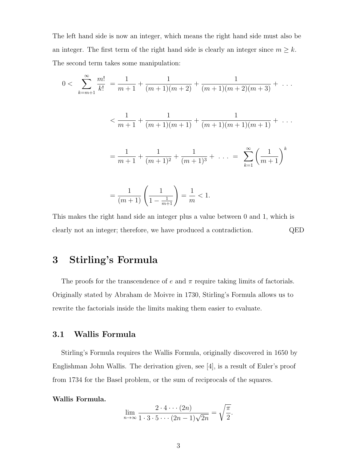The left hand side is now an integer, which means the right hand side must also be an integer. The first term of the right hand side is clearly an integer since  $m \geq k$ . The second term takes some manipulation:

$$
0 < \sum_{k=m+1}^{\infty} \frac{m!}{k!} = \frac{1}{m+1} + \frac{1}{(m+1)(m+2)} + \frac{1}{(m+1)(m+2)(m+3)} + \dots
$$
\n
$$
\leq \frac{1}{m+1} + \frac{1}{(m+1)(m+1)} + \frac{1}{(m+1)(m+1)(m+1)} + \dots
$$
\n
$$
= \frac{1}{m+1} + \frac{1}{(m+1)^2} + \frac{1}{(m+1)^3} + \dots = \sum_{k=1}^{\infty} \left(\frac{1}{m+1}\right)^k
$$
\n
$$
= \frac{1}{(m+1)} \left(\frac{1}{1 - \frac{1}{m+1}}\right) = \frac{1}{m} < 1.
$$

This makes the right hand side an integer plus a value between 0 and 1, which is clearly not an integer; therefore, we have produced a contradiction. QED

# 3 Stirling's Formula

The proofs for the transcendence of e and  $\pi$  require taking limits of factorials. Originally stated by Abraham de Moivre in 1730, Stirling's Formula allows us to rewrite the factorials inside the limits making them easier to evaluate.

### 3.1 Wallis Formula

Stirling's Formula requires the Wallis Formula, originally discovered in 1650 by Englishman John Wallis. The derivation given, see [4], is a result of Euler's proof from 1734 for the Basel problem, or the sum of reciprocals of the squares.

#### Wallis Formula.

$$
\lim_{n \to \infty} \frac{2 \cdot 4 \cdots (2n)}{1 \cdot 3 \cdot 5 \cdots (2n-1)\sqrt{2n}} = \sqrt{\frac{\pi}{2}}.
$$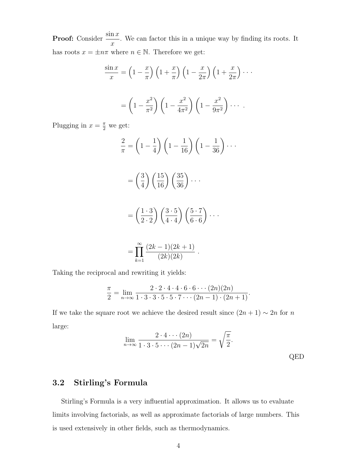**Proof:** Consider  $\frac{\sin x}{x}$  $\boldsymbol{x}$ . We can factor this in a unique way by finding its roots. It has roots  $x = \pm n\pi$  where  $n \in \mathbb{N}$ . Therefore we get:

$$
\frac{\sin x}{x} = \left(1 - \frac{x}{\pi}\right) \left(1 + \frac{x}{\pi}\right) \left(1 - \frac{x}{2\pi}\right) \left(1 + \frac{x}{2\pi}\right) \cdots
$$

$$
= \left(1 - \frac{x^2}{\pi^2}\right) \left(1 - \frac{x^2}{4\pi^2}\right) \left(1 - \frac{x^2}{9\pi^2}\right) \cdots
$$

Plugging in  $x = \frac{\pi}{2}$  we get:

$$
\frac{2}{\pi} = \left(1 - \frac{1}{4}\right) \left(1 - \frac{1}{16}\right) \left(1 - \frac{1}{36}\right) \cdots
$$

$$
= \left(\frac{3}{4}\right) \left(\frac{15}{16}\right) \left(\frac{35}{36}\right) \cdots
$$

$$
= \left(\frac{1 \cdot 3}{2 \cdot 2}\right) \left(\frac{3 \cdot 5}{4 \cdot 4}\right) \left(\frac{5 \cdot 7}{6 \cdot 6}\right) \cdots
$$

$$
\approx (3! - 1)(3! + 1)
$$

$$
= \prod_{k=1}^{\infty} \frac{(2k-1)(2k+1)}{(2k)(2k)}.
$$

Taking the reciprocal and rewriting it yields:

$$
\frac{\pi}{2} = \lim_{n \to \infty} \frac{2 \cdot 2 \cdot 4 \cdot 4 \cdot 6 \cdot 6 \cdots (2n)(2n)}{1 \cdot 3 \cdot 3 \cdot 5 \cdot 5 \cdot 7 \cdots (2n-1) \cdot (2n+1)}.
$$

If we take the square root we achieve the desired result since  $(2n + 1) \sim 2n$  for n large:

$$
\lim_{n \to \infty} \frac{2 \cdot 4 \cdots (2n)}{1 \cdot 3 \cdot 5 \cdots (2n-1)\sqrt{2n}} = \sqrt{\frac{\pi}{2}}.
$$
 QED

## 3.2 Stirling's Formula

Stirling's Formula is a very influential approximation. It allows us to evaluate limits involving factorials, as well as approximate factorials of large numbers. This is used extensively in other fields, such as thermodynamics.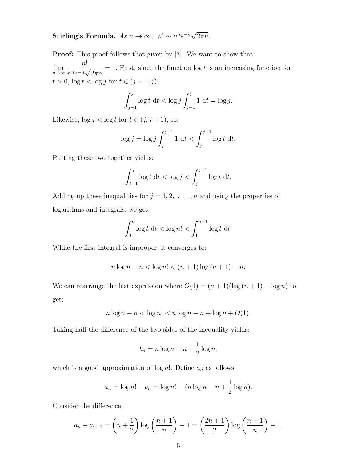#### Stirling's Formula.  $As\ n \rightarrow \infty$ ,  $n! \sim n^n e^{-n} \sqrt{\frac{\sum_{i=1}^{n} (n_i - n_i)^2}{n}}$  $2\pi n$ .

**Proof:** This proof follows that given by [3]. We want to show that  $\lim_{n\to\infty}$ n!  $\frac{n}{n^ne^{-n}\sqrt{n}}$  $2\pi n$  $= 1$ . First, since the function  $\log t$  is an increasing function for  $t > 0$ ,  $\log t < \log j$  for  $t \in (j-1, j)$ :

$$
\int_{j-1}^{j} \log t \, dt < \log j \int_{j-1}^{j} 1 \, dt = \log j.
$$

Likewise,  $\log j < \log t$  for  $t \in (j, j + 1)$ , so:

$$
\log j = \log j \int_j^{j+1} 1 \, \mathrm{d}t < \int_j^{j+1} \log t \, \mathrm{d}t.
$$

Putting these two together yields:

$$
\int_{j-1}^j \log t \, \mathrm{d}t < \log j < \int_j^{j+1} \log t \, \mathrm{d}t.
$$

Adding up these inequalities for  $j = 1, 2, \ldots, n$  and using the properties of logarithms and integrals, we get:

$$
\int_0^n \log t \, \mathrm{d}t < \log n! < \int_1^{n+1} \log t \, \mathrm{d}t.
$$

While the first integral is improper, it converges to:

$$
n \log n - n < \log n! < (n+1) \log (n+1) - n.
$$

We can rearrange the last expression where  $O(1) = (n + 1)(\log(n + 1) - \log n)$  to get:

$$
n \log n - n < \log n! < n \log n - n + \log n + O(1).
$$

Taking half the difference of the two sides of the inequality yields:

$$
b_n = n \log n - n + \frac{1}{2} \log n,
$$

which is a good approximation of  $\log n!$ . Define  $a_n$  as follows:

$$
a_n = \log n! - b_n = \log n! - (n \log n - n + \frac{1}{2} \log n).
$$

Consider the difference:

$$
a_n - a_{n+1} = \left( n + \frac{1}{2} \right) \log \left( \frac{n+1}{n} \right) - 1 = \left( \frac{2n+1}{2} \right) \log \left( \frac{n+1}{n} \right) - 1.
$$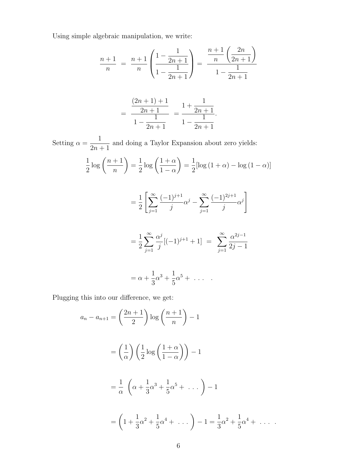Using simple algebraic manipulation, we write:

$$
\frac{n+1}{n} = \frac{n+1}{n} \left( \frac{1 - \frac{1}{2n+1}}{1 - \frac{1}{2n+1}} \right) = \frac{\frac{n+1}{n} \left( \frac{2n}{2n+1} \right)}{1 - \frac{1}{2n+1}}
$$

$$
= \frac{\frac{(2n+1)+1}{2n+1}}{1-\frac{1}{2n+1}} = \frac{1+\frac{1}{2n+1}}{1-\frac{1}{2n+1}}.
$$

Setting  $\alpha =$ 1  $2n + 1$ and doing a Taylor Expansion about zero yields:

$$
\frac{1}{2}\log\left(\frac{n+1}{n}\right) = \frac{1}{2}\log\left(\frac{1+\alpha}{1-\alpha}\right) = \frac{1}{2}\left[\log\left(1+\alpha\right) - \log\left(1-\alpha\right)\right]
$$

$$
= \frac{1}{2} \left[ \sum_{j=1}^{\infty} \frac{(-1)^{j+1}}{j} \alpha^j - \sum_{j=1}^{\infty} \frac{(-1)^{2j+1}}{j} \alpha^j \right]
$$

$$
= \frac{1}{2}\sum_{j=1}^{\infty} \frac{\alpha^j}{j} [(-1)^{j+1} + 1] = \sum_{j=1}^{\infty} \frac{\alpha^{2j-1}}{2j-1}
$$

$$
=\alpha+\frac{1}{3}\alpha^3+\frac{1}{5}\alpha^5+\ldots
$$

Plugging this into our difference, we get:

$$
a_n - a_{n+1} = \left(\frac{2n+1}{2}\right) \log\left(\frac{n+1}{n}\right) - 1
$$
  
=  $\left(\frac{1}{\alpha}\right) \left(\frac{1}{2} \log\left(\frac{1+\alpha}{1-\alpha}\right)\right) - 1$   
=  $\frac{1}{\alpha} \left(\alpha + \frac{1}{3}\alpha^3 + \frac{1}{5}\alpha^5 + \dots\right) - 1$   
=  $\left(1 + \frac{1}{3}\alpha^2 + \frac{1}{5}\alpha^4 + \dots\right) - 1 = \frac{1}{3}\alpha^2 + \frac{1}{5}\alpha^4 + \dots$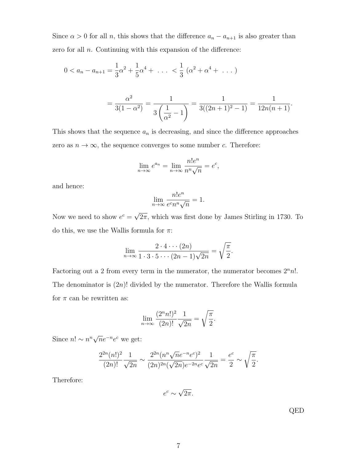Since  $\alpha > 0$  for all n, this shows that the difference  $a_n - a_{n+1}$  is also greater than zero for all  $n$ . Continuing with this expansion of the difference:

$$
0 < a_n - a_{n+1} = \frac{1}{3}\alpha^2 + \frac{1}{5}\alpha^4 + \dots < \frac{1}{3} \left( \alpha^2 + \alpha^4 + \dots \right)
$$

$$
= \frac{\alpha^2}{3(1-\alpha^2)} = \frac{1}{3\left(\frac{1}{\alpha^2} - 1\right)} = \frac{1}{3((2n+1)^2 - 1)} = \frac{1}{12n(n+1)}.
$$

This shows that the sequence  $a_n$  is decreasing, and since the difference approaches zero as  $n \to \infty$ , the sequence converges to some number c. Therefore:

$$
\lim_{n \to \infty} e^{a_n} = \lim_{n \to \infty} \frac{n! e^n}{n^n \sqrt{n}} = e^c,
$$

and hence:

$$
\lim_{n \to \infty} \frac{n! e^n}{e^c n^n \sqrt{n}} = 1.
$$

Now we need to show  $e^c =$ √  $2\pi$ , which was first done by James Stirling in 1730. To do this, we use the Wallis formula for  $\pi$ :

$$
\lim_{n \to \infty} \frac{2 \cdot 4 \cdot \cdot \cdot (2n)}{1 \cdot 3 \cdot 5 \cdot \cdot \cdot (2n-1)\sqrt{2n}} = \sqrt{\frac{\pi}{2}}.
$$

Factoring out a 2 from every term in the numerator, the numerator becomes  $2<sup>n</sup>n!$ . The denominator is  $(2n)!$  divided by the numerator. Therefore the Wallis formula for  $\pi$  can be rewritten as:

$$
\lim_{n \to \infty} \frac{(2^n n!)^2}{(2n)!} \frac{1}{\sqrt{2n}} = \sqrt{\frac{\pi}{2}}.
$$

Since  $n! \sim n^n \sqrt{n} e^{-n} e^c$  we get:

$$
\frac{2^{2n}(n!)^2}{(2n)!} \frac{1}{\sqrt{2n}} \sim \frac{2^{2n}(n^n \sqrt{n}e^{-n}e^c)^2}{(2n)^{2n}(\sqrt{2n})e^{-2n}e^c} \frac{1}{\sqrt{2n}} = \frac{e^c}{2} \sim \sqrt{\frac{\pi}{2}}.
$$

Therefore:

$$
e^c \sim \sqrt{2\pi}.
$$

QED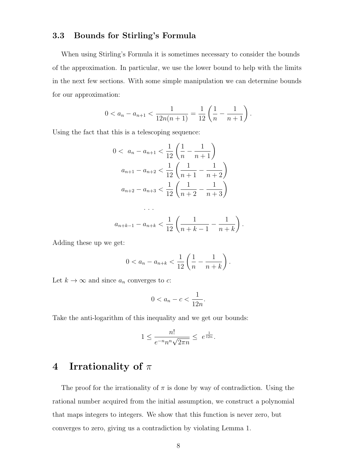## 3.3 Bounds for Stirling's Formula

When using Stirling's Formula it is sometimes necessary to consider the bounds of the approximation. In particular, we use the lower bound to help with the limits in the next few sections. With some simple manipulation we can determine bounds for our approximation:

$$
0 < a_n - a_{n+1} < \frac{1}{12n(n+1)} = \frac{1}{12} \left( \frac{1}{n} - \frac{1}{n+1} \right).
$$

Using the fact that this is a telescoping sequence:

$$
0 < a_n - a_{n+1} < \frac{1}{12} \left( \frac{1}{n} - \frac{1}{n+1} \right)
$$
\n
$$
a_{n+1} - a_{n+2} < \frac{1}{12} \left( \frac{1}{n+1} - \frac{1}{n+2} \right)
$$
\n
$$
a_{n+2} - a_{n+3} < \frac{1}{12} \left( \frac{1}{n+2} - \frac{1}{n+3} \right)
$$
\n
$$
\cdots
$$
\n
$$
a_{n+k-1} - a_{n+k} < \frac{1}{12} \left( \frac{1}{n+k-1} - \frac{1}{n+k} \right)
$$

Adding these up we get:

$$
0 < a_n - a_{n+k} < \frac{1}{12} \left( \frac{1}{n} - \frac{1}{n+k} \right).
$$

.

Let  $k \to \infty$  and since  $a_n$  converges to c:

$$
0 < a_n - c < \frac{1}{12n}.
$$

Take the anti-logarithm of this inequality and we get our bounds:

$$
1\leq \frac{n!}{e^{-n}n^n\sqrt{2\pi n}}\leq \ e^{\frac{1}{12n}}.
$$

# 4 Irrationality of  $\pi$

The proof for the irrationality of  $\pi$  is done by way of contradiction. Using the rational number acquired from the initial assumption, we construct a polynomial that maps integers to integers. We show that this function is never zero, but converges to zero, giving us a contradiction by violating Lemma 1.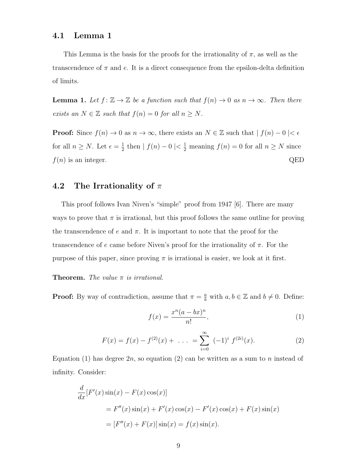### 4.1 Lemma 1

This Lemma is the basis for the proofs for the irrationality of  $\pi$ , as well as the transcendence of  $\pi$  and e. It is a direct consequence from the epsilon-delta definition of limits.

**Lemma 1.** Let  $f: \mathbb{Z} \to \mathbb{Z}$  be a function such that  $f(n) \to 0$  as  $n \to \infty$ . Then there exists an  $N \in \mathbb{Z}$  such that  $f(n) = 0$  for all  $n \geq N$ .

**Proof:** Since  $f(n) \to 0$  as  $n \to \infty$ , there exists an  $N \in \mathbb{Z}$  such that  $| f(n) - 0 | < \epsilon$ for all  $n \geq N$ . Let  $\epsilon = \frac{1}{2}$  $\frac{1}{2}$  then  $| f(n) - 0 | < \frac{1}{2}$  meaning  $f(n) = 0$  for all  $n \geq N$  since  $f(n)$  is an integer. QED

## 4.2 The Irrationality of  $\pi$

This proof follows Ivan Niven's "simple" proof from 1947 [6]. There are many ways to prove that  $\pi$  is irrational, but this proof follows the same outline for proving the transcendence of e and  $\pi$ . It is important to note that the proof for the transcendence of e came before Niven's proof for the irrationality of  $\pi$ . For the purpose of this paper, since proving  $\pi$  is irrational is easier, we look at it first.

#### **Theorem.** The value  $\pi$  is irrational.

**Proof:** By way of contradiction, assume that  $\pi = \frac{a}{b}$  with  $a, b \in \mathbb{Z}$  and  $b \neq 0$ . Define:

$$
f(x) = \frac{x^n(a - bx)^n}{n!},\tag{1}
$$

$$
F(x) = f(x) - f^{(2)}(x) + \dots = \sum_{i=0}^{\infty} (-1)^i f^{(2i)}(x).
$$
 (2)

Equation (1) has degree  $2n$ , so equation (2) can be written as a sum to n instead of infinity. Consider:

$$
\frac{d}{dx}[F'(x)\sin(x) - F(x)\cos(x)]
$$
  
=  $F''(x)\sin(x) + F'(x)\cos(x) - F'(x)\cos(x) + F(x)\sin(x)$   
=  $[F''(x) + F(x)]\sin(x) = f(x)\sin(x).$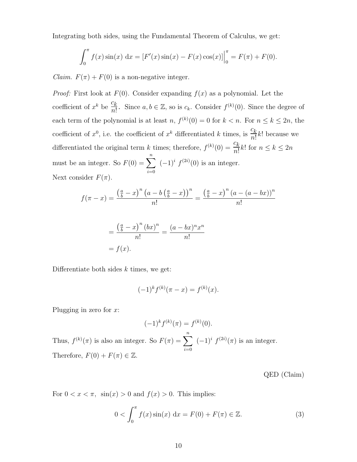Integrating both sides, using the Fundamental Theorem of Calculus, we get:

$$
\int_0^{\pi} f(x) \sin(x) dx = [F'(x) \sin(x) - F(x) \cos(x)]\Big|_0^{\pi} = F(\pi) + F(0).
$$

*Claim.*  $F(\pi) + F(0)$  is a non-negative integer.

*Proof:* First look at  $F(0)$ . Consider expanding  $f(x)$  as a polynomial. Let the coefficient of  $x^k$  be  $\frac{c_k}{n!}$ . Since  $a, b \in \mathbb{Z}$ , so is  $c_k$ . Consider  $f^{(k)}(0)$ . Since the degree of each term of the polynomial is at least n,  $f^{(k)}(0) = 0$  for  $k < n$ . For  $n \leq k \leq 2n$ , the coefficient of  $x^0$ , i.e. the coefficient of  $x^k$  differentiated k times, is  $\frac{c_k}{n!}$  $\frac{\partial \mathcal{L}}{\partial n}k!$  because we differentiated the original term k times; therefore,  $f^{(k)}(0) = \frac{c_k}{n!} k!$  for  $n \le k \le 2n$ must be an integer. So  $F(0) = \sum_{n=1}^{\infty}$  $i=0$  $(-1)^i f^{(2i)}(0)$  is an integer. Next consider  $F(\pi)$ .

$$
f(\pi - x) = \frac{\left(\frac{a}{b} - x\right)^n \left(a - b\left(\frac{a}{b} - x\right)\right)^n}{n!} = \frac{\left(\frac{a}{b} - x\right)^n \left(a - (a - bx)\right)^n}{n!}
$$

$$
=\frac{\left(\frac{a}{b}-x\right)^{n}(bx)^{n}}{n!}=\frac{(a-bx)^{n}x^{n}}{n!}
$$

$$
=f(x).
$$

Differentiate both sides  $k$  times, we get:

$$
(-1)^{k} f^{(k)}(\pi - x) = f^{(k)}(x).
$$

Plugging in zero for  $x$ :

$$
(-1)^k f^{(k)}(\pi) = f^{(k)}(0).
$$

Thus,  $f^{(k)}(\pi)$  is also an integer. So  $F(\pi) = \sum_{n=1}^{\infty}$  $i=0$  $(-1)^i f^{(2i)}(\pi)$  is an integer. Therefore,  $F(0) + F(\pi) \in \mathbb{Z}$ .

QED (Claim)

For  $0 < x < \pi$ ,  $\sin(x) > 0$  and  $f(x) > 0$ . This implies:

$$
0 < \int_0^{\pi} f(x) \sin(x) dx = F(0) + F(\pi) \in \mathbb{Z}.
$$
 (3)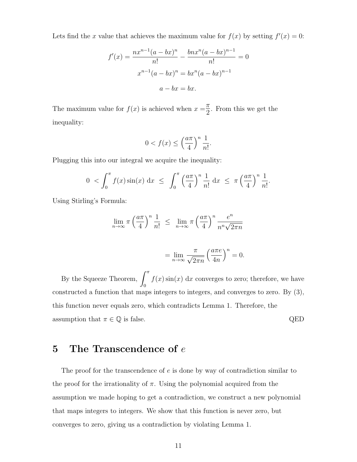Lets find the x value that achieves the maximum value for  $f(x)$  by setting  $f'(x) = 0$ :

$$
f'(x) = \frac{nx^{n-1}(a - bx)^n}{n!} - \frac{bnx^n(a - bx)^{n-1}}{n!} = 0
$$

$$
x^{n-1}(a - bx)^n = bx^n(a - bx)^{n-1}
$$

$$
a - bx = bx.
$$

The maximum value for  $f(x)$  is achieved when  $x = \frac{\pi}{2}$  $\frac{\pi}{2}$ . From this we get the inequality:

$$
0 < f(x) \le \left(\frac{a\pi}{4}\right)^n \frac{1}{n!}.
$$

Plugging this into our integral we acquire the inequality:

$$
0 < \int_0^{\pi} f(x) \sin(x) dx \le \int_0^{\pi} \left(\frac{a\pi}{4}\right)^n \frac{1}{n!} dx \le \pi \left(\frac{a\pi}{4}\right)^n \frac{1}{n!}.
$$

Using Stirling's Formula:

$$
\lim_{n \to \infty} \pi \left(\frac{a\pi}{4}\right)^n \frac{1}{n!} \le \lim_{n \to \infty} \pi \left(\frac{a\pi}{4}\right)^n \frac{e^n}{n^n \sqrt{2\pi n}}
$$

$$
= \lim_{n \to \infty} \frac{\pi}{\sqrt{2\pi n}} \left(\frac{a\pi e}{4n}\right)^n = 0.
$$

By the Squeeze Theorem,  $\int_0^\pi$ 0  $f(x) \sin(x) dx$  converges to zero; therefore, we have constructed a function that maps integers to integers, and converges to zero. By (3), this function never equals zero, which contradicts Lemma 1. Therefore, the assumption that  $\pi \in \mathbb{Q}$  is false.  $QED$ 

# 5 The Transcendence of  $e$

The proof for the transcendence of e is done by way of contradiction similar to the proof for the irrationality of  $\pi$ . Using the polynomial acquired from the assumption we made hoping to get a contradiction, we construct a new polynomial that maps integers to integers. We show that this function is never zero, but converges to zero, giving us a contradiction by violating Lemma 1.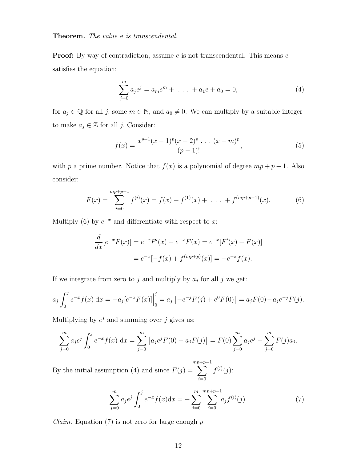#### Theorem. The value e is transcendental.

**Proof:** By way of contradiction, assume  $e$  is not transcendental. This means  $e$ satisfies the equation:

$$
\sum_{j=0}^{m} a_j e^j = a_m e^m + \dots + a_1 e + a_0 = 0,
$$
\n(4)

for  $a_j \in \mathbb{Q}$  for all j, some  $m \in \mathbb{N}$ , and  $a_0 \neq 0$ . We can multiply by a suitable integer to make  $a_j \in \mathbb{Z}$  for all j. Consider:

$$
f(x) = \frac{x^{p-1}(x-1)^p(x-2)^p \dots (x-m)^p}{(p-1)!},
$$
\n(5)

with p a prime number. Notice that  $f(x)$  is a polynomial of degree  $mp + p - 1$ . Also consider:

$$
F(x) = \sum_{i=0}^{mp+p-1} f^{(i)}(x) = f(x) + f^{(1)}(x) + \dots + f^{(mp+p-1)}(x).
$$
 (6)

Multiply (6) by  $e^{-x}$  and differentiate with respect to x:

$$
\frac{d}{dx}[e^{-x}F(x)] = e^{-x}F'(x) - e^{-x}F(x) = e^{-x}[F'(x) - F(x)]
$$

$$
= e^{-x}[-f(x) + f^{(mp+p)}(x)] = -e^{-x}f(x).
$$

If we integrate from zero to j and multiply by  $a_j$  for all j we get:

$$
a_j \int_0^j e^{-x} f(x) dx = -a_j [e^{-x} F(x)] \Big|_0^j = a_j \left[ -e^{-j} F(j) + e^0 F(0) \right] = a_j F(0) - a_j e^{-j} F(j).
$$

Multiplying by  $e^j$  and summing over j gives us:

$$
\sum_{j=0}^{m} a_j e^j \int_0^j e^{-x} f(x) dx = \sum_{j=0}^{m} \left[ a_j e^j F(0) - a_j F(j) \right] = F(0) \sum_{j=0}^{m} a_j e^j - \sum_{j=0}^{m} F(j) a_j.
$$

By the initial assumption (4) and since  $F(j) =$ mp  $\sum$  $+p-1$  $i=0$  $f^{(i)}(j)$ :

$$
\sum_{j=0}^{m} a_j e^j \int_0^j e^{-x} f(x) dx = - \sum_{j=0}^{m} \sum_{i=0}^{m+p-1} a_j f^{(i)}(j).
$$
 (7)

*Claim.* Equation (7) is not zero for large enough  $p$ .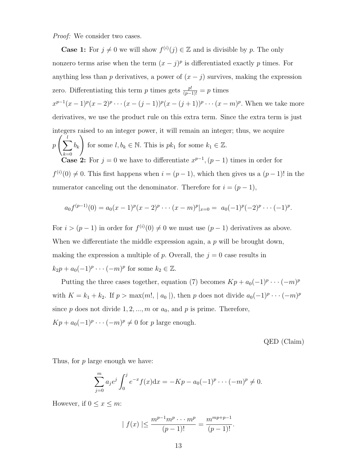Proof: We consider two cases.

**Case 1:** For  $j \neq 0$  we will show  $f^{(i)}(j) \in \mathbb{Z}$  and is divisible by p. The only nonzero terms arise when the term  $(x - j)^p$  is differentiated exactly p times. For anything less than p derivatives, a power of  $(x - j)$  survives, making the expression zero. Differentiating this term p times gets  $\frac{p!}{(p-1)!} = p$  times  $x^{p-1}(x-1)^p(x-2)^p \cdots (x-(j-1))^p(x-(j+1))^p \cdots (x-m)^p$ . When we take more derivatives, we use the product rule on this extra term. Since the extra term is just integers raised to an integer power, it will remain an integer; thus, we acquire  $p\left(\sum_{i=1}^{l}$  $k=0$  $b_k$  $\setminus$ for some  $l, b_k \in \mathbb{N}$ . This is  $pk_1$  for some  $k_1 \in \mathbb{Z}$ . **Case 2:** For  $j = 0$  we have to differentiate  $x^{p-1}$ ,  $(p-1)$  times in order for  $f^{(i)}(0) \neq 0$ . This first happens when  $i = (p-1)$ , which then gives us a  $(p-1)!$  in the numerator canceling out the denominator. Therefore for  $i = (p - 1)$ ,

$$
a_0 f^{(p-1)}(0) = a_0(x-1)^p(x-2)^p \cdots (x-m)^p|_{x=0} = a_0(-1)^p(-2)^p \cdots (-1)^p.
$$

For  $i > (p-1)$  in order for  $f^{(i)}(0) \neq 0$  we must use  $(p-1)$  derivatives as above. When we differentiate the middle expression again, a  $p$  will be brought down, making the expression a multiple of p. Overall, the  $j = 0$  case results in  $k_2p + a_0(-1)^p \cdots (-m)^p$  for some  $k_2 \in \mathbb{Z}$ .

Putting the three cases together, equation (7) becomes  $Kp + a_0(-1)^p \cdots (-m)^p$ with  $K = k_1 + k_2$ . If  $p > \max(m!, |a_0|)$ , then p does not divide  $a_0(-1)^p \cdots (-m)^p$ since  $p$  does not divide  $1, 2, ..., m$  or  $a_0$ , and  $p$  is prime. Therefore,  $Kp + a_0(-1)^p \cdots (-m)^p \neq 0$  for p large enough.

QED (Claim)

Thus, for p large enough we have:

$$
\sum_{j=0}^{m} a_j e^j \int_0^j e^{-x} f(x) dx = -Kp - a_0 (-1)^p \cdots (-m)^p \neq 0.
$$

However, if  $0 \leq x \leq m$ :

$$
|f(x)| \le \frac{m^{p-1}m^p \cdots m^p}{(p-1)!} = \frac{m^{mp+p-1}}{(p-1)!}.
$$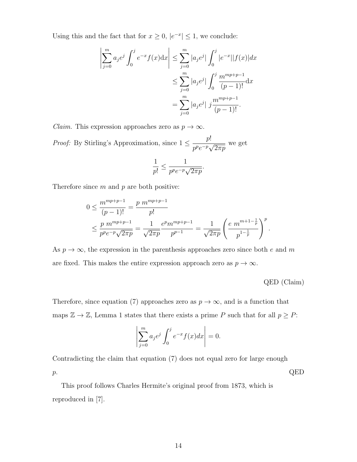Using this and the fact that for  $x \geq 0$ ,  $|e^{-x}| \leq 1$ , we conclude:

$$
\left| \sum_{j=0}^{m} a_j e^j \int_0^j e^{-x} f(x) dx \right| \le \sum_{j=0}^{m} |a_j e^j| \int_0^j |e^{-x}| |f(x)| dx
$$
  

$$
\le \sum_{j=0}^{m} |a_j e^j| \int_0^j \frac{m^{mp+p-1}}{(p-1)!} dx
$$
  

$$
= \sum_{j=0}^{m} |a_j e^j| j \frac{m^{mp+p-1}}{(p-1)!}.
$$

*Claim.* This expression approaches zero as  $p \to \infty$ .

*Proof:* By Stirling's Approximation, since  $1 \leq \frac{p!}{r^2}$  $\frac{P}{p^p e^{-p}\sqrt{p}}$  $\overline{2\pi p}$ we get

$$
\frac{1}{p!} \le \frac{1}{p^p e^{-p} \sqrt{2\pi p}}.
$$

Therefore since  $m$  and  $p$  are both positive:

$$
0 \le \frac{m^{mp+p-1}}{(p-1)!} = \frac{p \ m^{mp+p-1}}{p!}
$$
  
 
$$
\le \frac{p \ m^{mp+p-1}}{p^p e^{-p} \sqrt{2\pi p}} = \frac{1}{\sqrt{2\pi p}} \frac{e^p m^{mp+p-1}}{p^{p-1}} = \frac{1}{\sqrt{2\pi p}} \left(\frac{e \ m^{m+1-\frac{1}{p}}}{p^{1-\frac{1}{p}}}\right)^p.
$$

As  $p \to \infty$ , the expression in the parenthesis approaches zero since both e and m are fixed. This makes the entire expression approach zero as  $p \to \infty$ .

QED (Claim)

Therefore, since equation (7) approaches zero as  $p \to \infty$ , and is a function that maps  $\mathbb{Z} \to \mathbb{Z}$ , Lemma 1 states that there exists a prime P such that for all  $p \geq P$ :

$$
\left|\sum_{j=0}^m a_j e^j \int_0^j e^{-x} f(x) dx\right| = 0.
$$

Contradicting the claim that equation (7) does not equal zero for large enough  $p.$  QED

This proof follows Charles Hermite's original proof from 1873, which is reproduced in [7].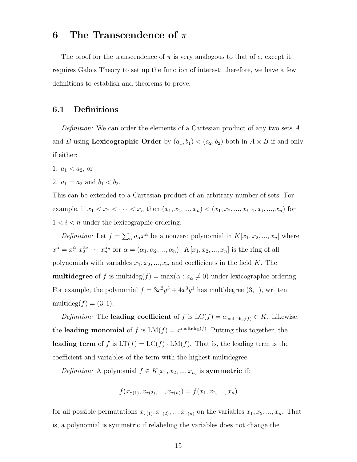# 6 The Transcendence of  $\pi$

The proof for the transcendence of  $\pi$  is very analogous to that of e, except it requires Galois Theory to set up the function of interest; therefore, we have a few definitions to establish and theorems to prove.

### 6.1 Definitions

Definition: We can order the elements of a Cartesian product of any two sets A and B using Lexicographic Order by  $(a_1, b_1) < (a_2, b_2)$  both in  $A \times B$  if and only if either:

- 1.  $a_1 < a_2$ , or
- 2.  $a_1 = a_2$  and  $b_1 < b_2$ .

This can be extended to a Cartesian product of an arbitrary number of sets. For example, if  $x_1 < x_2 < \cdots < x_n$  then  $(x_1, x_2, ..., x_n) < (x_1, x_2, ..., x_{i+1}, x_i, ..., x_n)$  for  $1 < i < n$  under the lexicographic ordering.

Definition: Let  $f = \sum_{\alpha} a_{\alpha} x^{\alpha}$  be a nonzero polynomial in  $K[x_1, x_2, ..., x_n]$  where  $x^{\alpha} = x_1^{\alpha_1} x_2^{\alpha_2} \cdots x_n^{\alpha_n}$  for  $\alpha = (\alpha_1, \alpha_2, ..., \alpha_n)$ .  $K[x_1, x_2, ..., x_n]$  is the ring of all polynomials with variables  $x_1, x_2, ..., x_n$  and coefficients in the field K. The **multidegree** of f is multideg $(f) = \max(\alpha : a_{\alpha} \neq 0)$  under lexicographic ordering. For example, the polynomial  $f = 3x^2y^3 + 4x^3y^1$  has multidegree  $(3, 1)$ , written multideg $(f) = (3, 1)$ .

*Definition:* The **leading coefficient** of f is  $LC(f) = a_{multideg(f)} \in K$ . Likewise, the leading monomial of f is  $LM(f) = x^{multideg(f)}$ . Putting this together, the leading term of f is  $LT(f) = LC(f) \cdot LM(f)$ . That is, the leading term is the coefficient and variables of the term with the highest multidegree.

*Definition:* A polynomial  $f \in K[x_1, x_2, ..., x_n]$  is **symmetric** if:

$$
f(x_{\tau(1)}, x_{\tau(2)}, ..., x_{\tau(n)}) = f(x_1, x_2, ..., x_n)
$$

for all possible permutations  $x_{\tau(1)}, x_{\tau(2)}, ..., x_{\tau(n)}$  on the variables  $x_1, x_2, ..., x_n$ . That is, a polynomial is symmetric if relabeling the variables does not change the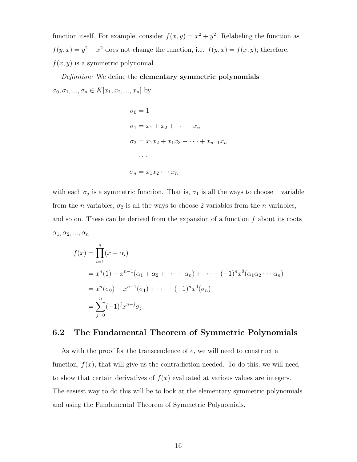function itself. For example, consider  $f(x, y) = x^2 + y^2$ . Relabeling the function as  $f(y, x) = y^2 + x^2$  does not change the function, i.e.  $f(y, x) = f(x, y)$ ; therefore,  $f(x, y)$  is a symmetric polynomial.

Definition: We define the elementary symmetric polynomials  $\sigma_0, \sigma_1, ..., \sigma_n \in K[x_1, x_2, ..., x_n]$  by:

$$
\sigma_0 = 1
$$
  
\n
$$
\sigma_1 = x_1 + x_2 + \dots + x_n
$$
  
\n
$$
\sigma_2 = x_1 x_2 + x_1 x_3 + \dots + x_{n-1} x_n
$$
  
\n...  
\n
$$
\sigma_n = x_1 x_2 \dots x_n
$$

with each  $\sigma_j$  is a symmetric function. That is,  $\sigma_1$  is all the ways to choose 1 variable from the *n* variables,  $\sigma_2$  is all the ways to choose 2 variables from the *n* variables, and so on. These can be derived from the expansion of a function  $f$  about its roots  $\alpha_1, \alpha_2, ..., \alpha_n$  :

$$
f(x) = \prod_{i=1}^{n} (x - \alpha_i)
$$
  
=  $x^n(1) - x^{n-1}(\alpha_1 + \alpha_2 + \dots + \alpha_n) + \dots + (-1)^n x^0(\alpha_1 \alpha_2 \dots \alpha_n)$   
=  $x^n(\sigma_0) - x^{n-1}(\sigma_1) + \dots + (-1)^n x^0(\sigma_n)$   
=  $\sum_{j=0}^{n} (-1)^j x^{n-j} \sigma_j.$ 

## 6.2 The Fundamental Theorem of Symmetric Polynomials

As with the proof for the transcendence of e, we will need to construct a function,  $f(x)$ , that will give us the contradiction needed. To do this, we will need to show that certain derivatives of  $f(x)$  evaluated at various values are integers. The easiest way to do this will be to look at the elementary symmetric polynomials and using the Fundamental Theorem of Symmetric Polynomials.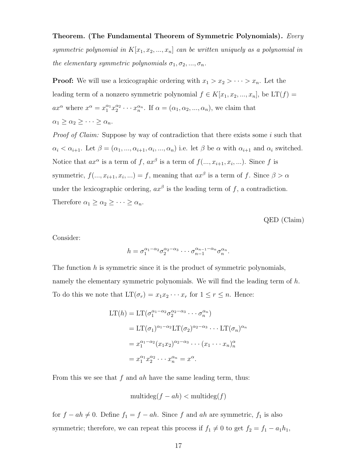Theorem. (The Fundamental Theorem of Symmetric Polynomials). Every symmetric polynomial in  $K[x_1, x_2, ..., x_n]$  can be written uniquely as a polynomial in the elementary symmetric polynomials  $\sigma_1, \sigma_2, ..., \sigma_n$ .

**Proof:** We will use a lexicographic ordering with  $x_1 > x_2 > \cdots > x_n$ . Let the leading term of a nonzero symmetric polynomial  $f \in K[x_1, x_2, ..., x_n]$ , be  $LT(f)$  =  $ax^{\alpha}$  where  $x^{\alpha} = x_1^{\alpha_1} x_2^{\alpha_2} \cdots x_n^{\alpha_n}$ . If  $\alpha = (\alpha_1, \alpha_2, ..., \alpha_n)$ , we claim that  $\alpha_1 \geq \alpha_2 \geq \cdots \geq \alpha_n.$ 

Proof of Claim: Suppose by way of contradiction that there exists some i such that  $\alpha_i < \alpha_{i+1}$ . Let  $\beta = (\alpha_1, ..., \alpha_{i+1}, \alpha_i, ..., \alpha_n)$  i.e. let  $\beta$  be  $\alpha$  with  $\alpha_{i+1}$  and  $\alpha_i$  switched. Notice that  $ax^{\alpha}$  is a term of f,  $ax^{\beta}$  is a term of  $f(...,x_{i+1},x_i,...)$ . Since f is symmetric,  $f(...,x_{i+1},x_i,...)=f$ , meaning that  $ax^{\beta}$  is a term of f. Since  $\beta > \alpha$ under the lexicographic ordering,  $ax^{\beta}$  is the leading term of f, a contradiction. Therefore  $\alpha_1 \geq \alpha_2 \geq \cdots \geq \alpha_n$ .

QED (Claim)

Consider:

$$
h = \sigma_1^{\alpha_1 - \alpha_2} \sigma_2^{\alpha_2 - \alpha_3} \cdots \sigma_{n-1}^{\alpha_{n-1} - \alpha_n} \sigma_n^{\alpha_n}.
$$

The function h is symmetric since it is the product of symmetric polynomials, namely the elementary symmetric polynomials. We will find the leading term of  $h$ . To do this we note that  $LT(\sigma_r) = x_1 x_2 \cdots x_r$  for  $1 \le r \le n$ . Hence:

$$
\begin{split} \mathrm{LT}(h) &= \mathrm{LT}(\sigma_1^{\alpha_1 - \alpha_2} \sigma_2^{\alpha_2 - \alpha_3} \cdots \sigma_n^{\alpha_n}) \\ &= \mathrm{LT}(\sigma_1)^{\alpha_1 - \alpha_2} \mathrm{LT}(\sigma_2)^{\alpha_2 - \alpha_3} \cdots \mathrm{LT}(\sigma_n)^{\alpha_n} \\ &= x_1^{\alpha_1 - \alpha_2} (x_1 x_2)^{\alpha_2 - \alpha_3} \cdots (x_1 \cdots x_n)_n^{\alpha} \\ &= x_1^{\alpha_1} x_2^{\alpha_2} \cdots x_n^{\alpha_n} = x^{\alpha} .\end{split}
$$

From this we see that  $f$  and  $ah$  have the same leading term, thus:

$$
\text{multideg}(f - ah) < \text{multideg}(f)
$$

for  $f - ah \neq 0$ . Define  $f_1 = f - ah$ . Since f and ah are symmetric,  $f_1$  is also symmetric; therefore, we can repeat this process if  $f_1 \neq 0$  to get  $f_2 = f_1 - a_1 h_1$ ,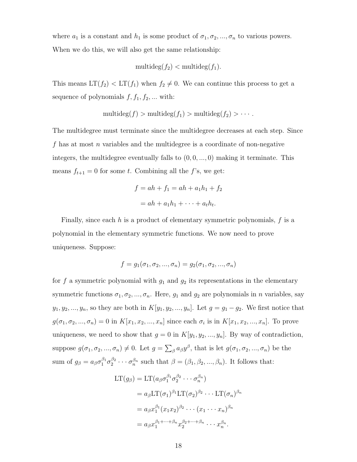where  $a_1$  is a constant and  $h_1$  is some product of  $\sigma_1, \sigma_2, ..., \sigma_n$  to various powers. When we do this, we will also get the same relationship:

$$
\mathop{\mathrm{multideg}}\nolimits(f_2) < \mathop{\mathrm{multideg}}\nolimits(f_1).
$$

This means  $LT(f_2) < LT(f_1)$  when  $f_2 \neq 0$ . We can continue this process to get a sequence of polynomials  $f, f_1, f_2, \dots$  with:

$$
\mathop{\mathrm{multideg}}\nolimits(f) > \mathop{\mathrm{multideg}}\nolimits(f_1) > \mathop{\mathrm{multideg}}\nolimits(f_2) > \cdots.
$$

The multidegree must terminate since the multidegree decreases at each step. Since f has at most n variables and the multidegree is a coordinate of non-negative integers, the multidegree eventually falls to  $(0, 0, \ldots, 0)$  making it terminate. This means  $f_{t+1} = 0$  for some t. Combining all the f's, we get:

$$
f = ah + f_1 = ah + a_1h_1 + f_2
$$

$$
= ah + a_1h_1 + \dots + a_th_t.
$$

Finally, since each  $h$  is a product of elementary symmetric polynomials,  $f$  is a polynomial in the elementary symmetric functions. We now need to prove uniqueness. Suppose:

$$
f = g_1(\sigma_1, \sigma_2, ..., \sigma_n) = g_2(\sigma_1, \sigma_2, ..., \sigma_n)
$$

for f a symmetric polynomial with  $g_1$  and  $g_2$  its representations in the elementary symmetric functions  $\sigma_1, \sigma_2, ..., \sigma_n$ . Here,  $g_1$  and  $g_2$  are polynomials in n variables, say  $y_1, y_2, ..., y_n$ , so they are both in  $K[y_1, y_2, ..., y_n]$ . Let  $g = g_1 - g_2$ . We first notice that  $g(\sigma_1, \sigma_2, ..., \sigma_n) = 0$  in  $K[x_1, x_2, ..., x_n]$  since each  $\sigma_i$  is in  $K[x_1, x_2, ..., x_n]$ . To prove uniqueness, we need to show that  $g = 0$  in  $K[y_1, y_2, ..., y_n]$ . By way of contradiction, suppose  $g(\sigma_1, \sigma_2, ..., \sigma_n) \neq 0$ . Let  $g = \sum_{\beta} a_{\beta} y^{\beta}$ , that is let  $g(\sigma_1, \sigma_2, ..., \sigma_n)$  be the sum of  $g_{\beta} = a_{\beta} \sigma_1^{\beta_1} \sigma_2^{\beta_2} \cdots \sigma_n^{\beta_n}$  such that  $\beta = (\beta_1, \beta_2, ..., \beta_n)$ . It follows that:

$$
LT(g_{\beta}) = LT(a_{\beta}\sigma_1^{\beta_1}\sigma_2^{\beta_2}\cdots\sigma_n^{\beta_n})
$$
  
=  $a_{\beta}LT(\sigma_1)^{\beta_1}LT(\sigma_2)^{\beta_2}\cdots LT(\sigma_n)^{\beta_n}$   
=  $a_{\beta}x_1^{\beta_1}(x_1x_2)^{\beta_2}\cdots(x_1\cdots x_n)^{\beta_n}$   
=  $a_{\beta}x_1^{\beta_1+\cdots+\beta_n}x_2^{\beta_2+\cdots+\beta_n}\cdots x_n^{\beta_n}.$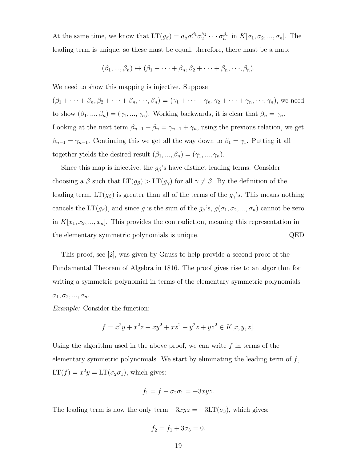At the same time, we know that  $LT(g_{\beta}) = a_{\beta}\sigma_1^{\beta_1}\sigma_2^{\beta_2}\cdots\sigma_n^{\beta_n}$  in  $K[\sigma_1, \sigma_2, ..., \sigma_n]$ . The leading term is unique, so these must be equal; therefore, there must be a map:

$$
(\beta_1, ..., \beta_n) \mapsto (\beta_1 + \cdots + \beta_n, \beta_2 + \cdots + \beta_n, ..., \beta_n).
$$

We need to show this mapping is injective. Suppose

 $(\beta_1 + \cdots + \beta_n, \beta_2 + \cdots + \beta_n, \cdots, \beta_n) = (\gamma_1 + \cdots + \gamma_n, \gamma_2 + \cdots + \gamma_n, \cdots, \gamma_n)$ , we need to show  $(\beta_1, ..., \beta_n) = (\gamma_1, ..., \gamma_n)$ . Working backwards, it is clear that  $\beta_n = \gamma_n$ . Looking at the next term  $\beta_{n-1} + \beta_n = \gamma_{n-1} + \gamma_n$ , using the previous relation, we get  $\beta_{n-1} = \gamma_{n-1}$ . Continuing this we get all the way down to  $\beta_1 = \gamma_1$ . Putting it all together yields the desired result  $(\beta_1, ..., \beta_n) = (\gamma_1, ..., \gamma_n)$ .

Since this map is injective, the  $g_\beta$ 's have distinct leading terms. Consider choosing a  $\beta$  such that  $LT(g_{\beta}) > LT(g_{\gamma})$  for all  $\gamma \neq \beta$ . By the definition of the leading term,  $LT(g_\beta)$  is greater than all of the terms of the  $g_\gamma$ 's. This means nothing cancels the LT( $g_{\beta}$ ), and since g is the sum of the  $g_{\beta}$ 's,  $g(\sigma_1, \sigma_2, ..., \sigma_n)$  cannot be zero in  $K[x_1, x_2, ..., x_n]$ . This provides the contradiction, meaning this representation in the elementary symmetric polynomials is unique. QED

This proof, see [2], was given by Gauss to help provide a second proof of the Fundamental Theorem of Algebra in 1816. The proof gives rise to an algorithm for writing a symmetric polynomial in terms of the elementary symmetric polynomials  $\sigma_1, \sigma_2, ..., \sigma_n.$ 

Example: Consider the function:

$$
f = x^2y + x^2z + xy^2 + xz^2 + y^2z + yz^2 \in K[x, y, z].
$$

Using the algorithm used in the above proof, we can write  $f$  in terms of the elementary symmetric polynomials. We start by eliminating the leading term of  $f$ ,  $LT(f) = x^2y = LT(\sigma_2 \sigma_1)$ , which gives:

$$
f_1 = f - \sigma_2 \sigma_1 = -3xyz.
$$

The leading term is now the only term  $-3xyz = -3LT(\sigma_3)$ , which gives:

$$
f_2 = f_1 + 3\sigma_3 = 0.
$$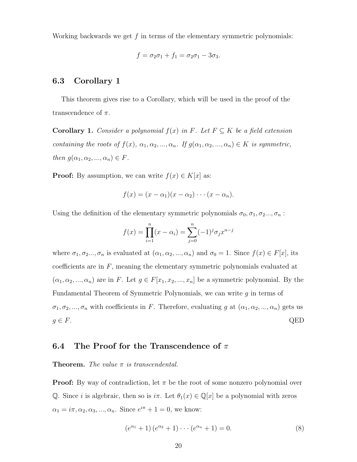Working backwards we get  $f$  in terms of the elementary symmetric polynomials:

$$
f = \sigma_2 \sigma_1 + f_1 = \sigma_2 \sigma_1 - 3\sigma_3.
$$

### 6.3 Corollary 1

This theorem gives rise to a Corollary, which will be used in the proof of the transcendence of  $\pi$ .

**Corollary 1.** Consider a polynomial  $f(x)$  in F. Let  $F \subseteq K$  be a field extension containing the roots of  $f(x)$ ,  $\alpha_1, \alpha_2, ..., \alpha_n$ . If  $g(\alpha_1, \alpha_2, ..., \alpha_n) \in K$  is symmetric, then  $g(\alpha_1, \alpha_2, ..., \alpha_n) \in F$ .

**Proof:** By assumption, we can write  $f(x) \in K[x]$  as:

$$
f(x) = (x - \alpha_1)(x - \alpha_2) \cdots (x - \alpha_n).
$$

Using the definition of the elementary symmetric polynomials  $\sigma_0, \sigma_1, \sigma_2, \ldots, \sigma_n$ :

$$
f(x) = \prod_{i=1}^{n} (x - \alpha_i) = \sum_{j=0}^{n} (-1)^j \sigma_j x^{n-j}
$$

where  $\sigma_1, \sigma_2, \ldots, \sigma_n$  is evaluated at  $(\alpha_1, \alpha_2, \ldots, \alpha_n)$  and  $\sigma_0 = 1$ . Since  $f(x) \in F[x]$ , its coefficients are in  $F$ , meaning the elementary symmetric polynomials evaluated at  $(\alpha_1, \alpha_2, ..., \alpha_n)$  are in F. Let  $g \in F[x_1, x_2, ..., x_n]$  be a symmetric polynomial. By the Fundamental Theorem of Symmetric Polynomials, we can write  $g$  in terms of  $\sigma_1, \sigma_2, ..., \sigma_n$  with coefficients in F. Therefore, evaluating g at  $(\alpha_1, \alpha_2, ..., \alpha_n)$  gets us  $g \in F$ . QED

### 6.4 The Proof for the Transcendence of  $\pi$

#### **Theorem.** The value  $\pi$  is transcendental.

**Proof:** By way of contradiction, let  $\pi$  be the root of some nonzero polynomial over Q. Since i is algebraic, then so is  $i\pi$ . Let  $\theta_1(x) \in \mathbb{Q}[x]$  be a polynomial with zeros  $\alpha_1 = i\pi, \alpha_2, \alpha_3, ..., \alpha_n$ . Since  $e^{i\pi} + 1 = 0$ , we know:

$$
(e^{\alpha_1} + 1) (e^{\alpha_2} + 1) \cdots (e^{\alpha_n} + 1) = 0.
$$
 (8)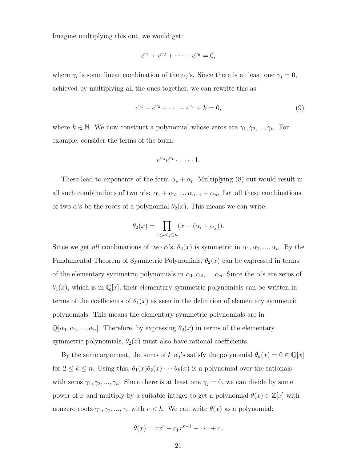Imagine multiplying this out, we would get:

$$
e^{\gamma_1}+e^{\gamma_2}+\cdots+e^{\gamma_h}=0,
$$

where  $\gamma_i$  is some linear combination of the  $\alpha_j$ 's. Since there is at least one  $\gamma_j = 0$ , achieved by multiplying all the ones together, we can rewrite this as:

$$
e^{\gamma_1} + e^{\gamma_2} + \dots + e^{\gamma_r} + k = 0,
$$
\n(9)

where  $k \in \mathbb{N}$ . We now construct a polynomial whose zeros are  $\gamma_1, \gamma_2, ..., \gamma_h$ . For example, consider the terms of the form:

$$
e^{\alpha_s}e^{\alpha_t}\cdot 1\cdots 1.
$$

These lead to exponents of the form  $\alpha_s + \alpha_t$ . Multiplying (8) out would result in all such combinations of two  $\alpha$ 's:  $\alpha_1 + \alpha_2, ..., \alpha_{n-1} + \alpha_n$ . Let all these combinations of two  $\alpha$ 's be the roots of a polynomial  $\theta_2(x)$ . This means we can write:

$$
\theta_2(x) = \prod_{1 \le i < j \le n} (x - (\alpha_i + \alpha_j)).
$$

Since we get all combinations of two  $\alpha$ 's,  $\theta_2(x)$  is symmetric in  $\alpha_1, \alpha_2, ..., \alpha_n$ . By the Fundamental Theorem of Symmetric Polynomials,  $\theta_2(x)$  can be expressed in terms of the elementary symmetric polynomials in  $\alpha_1, \alpha_2, ..., \alpha_n$ . Since the  $\alpha$ 's are zeros of  $\theta_1(x)$ , which is in Q[x], their elementary symmetric polynomials can be written in terms of the coefficients of  $\theta_1(x)$  as seen in the definition of elementary symmetric polynomials. This means the elementary symmetric polynomials are in  $\mathbb{Q}[\alpha_1, \alpha_2, ..., \alpha_n]$ . Therefore, by expressing  $\theta_2(x)$  in terms of the elementary symmetric polynomials,  $\theta_2(x)$  must also have rational coefficients.

By the same argument, the sums of  $k \alpha_j$ 's satisfy the polynomial  $\theta_k(x) = 0 \in \mathbb{Q}[x]$ for  $2 \leq k \leq n$ . Using this,  $\theta_1(x)\theta_2(x)\cdots\theta_k(x)$  is a polynomial over the rationals with zeros  $\gamma_1, \gamma_2, ..., \gamma_h$ . Since there is at least one  $\gamma_j = 0$ , we can divide by some power of x and multiply by a suitable integer to get a polynomial  $\theta(x) \in \mathbb{Z}[x]$  with nonzero roots  $\gamma_1, \gamma_2, ..., \gamma_r$  with  $r < h$ . We can write  $\theta(x)$  as a polynomial:

$$
\theta(x) = cx^r + c_1x^{r-1} + \cdots + c_r
$$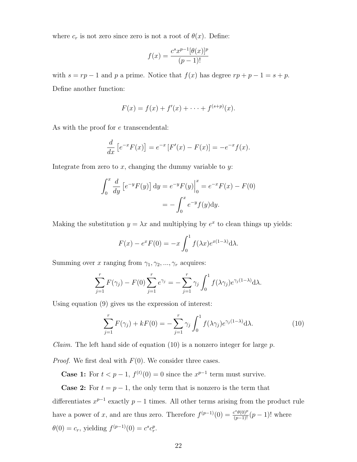where  $c_r$  is not zero since zero is not a root of  $\theta(x)$ . Define:

$$
f(x) = \frac{c^s x^{p-1} [\theta(x)]^p}{(p-1)!}
$$

with  $s = rp - 1$  and p a prime. Notice that  $f(x)$  has degree  $rp + p - 1 = s + p$ . Define another function:

$$
F(x) = f(x) + f'(x) + \cdots + f^{(s+p)}(x).
$$

As with the proof for e transcendental:

$$
\frac{d}{dx}\left[e^{-x}F(x)\right] = e^{-x}\left[F'(x) - F(x)\right] = -e^{-x}f(x).
$$

Integrate from zero to  $x$ , changing the dummy variable to  $y$ :

$$
\int_0^x \frac{d}{dy} \left[ e^{-y} F(y) \right] dy = e^{-y} F(y) \Big|_0^x = e^{-x} F(x) - F(0)
$$

$$
= - \int_0^x e^{-y} f(y) dy.
$$

Making the substitution  $y = \lambda x$  and multiplying by  $e^x$  to clean things up yields:

$$
F(x) - e^x F(0) = -x \int_0^1 f(\lambda x) e^{x(1-\lambda)} d\lambda.
$$

Summing over x ranging from  $\gamma_1, \gamma_2, ..., \gamma_r$  acquires:

$$
\sum_{j=1}^r F(\gamma_j) - F(0) \sum_{j=1}^r e^{\gamma_j} = -\sum_{j=1}^r \gamma_j \int_0^1 f(\lambda \gamma_j) e^{\gamma_j (1-\lambda)} d\lambda.
$$

Using equation (9) gives us the expression of interest:

$$
\sum_{j=1}^{r} F(\gamma_j) + kF(0) = -\sum_{j=1}^{r} \gamma_j \int_0^1 f(\lambda \gamma_j) e^{\gamma_j (1-\lambda)} d\lambda.
$$
 (10)

*Claim.* The left hand side of equation (10) is a nonzero integer for large  $p$ .

*Proof.* We first deal with  $F(0)$ . We consider three cases.

**Case 1:** For  $t < p-1$ ,  $f^{(t)}(0) = 0$  since the  $x^{p-1}$  term must survive.

**Case 2:** For  $t = p - 1$ , the only term that is nonzero is the term that differentiates  $x^{p-1}$  exactly  $p-1$  times. All other terms arising from the product rule have a power of x, and are thus zero. Therefore  $f^{(p-1)}(0) = \frac{c^s \theta(0)^p}{(p-1)!} (p-1)!$  where  $\theta(0) = c_r$ , yielding  $f^{(p-1)}(0) = c^s c_r^p$ .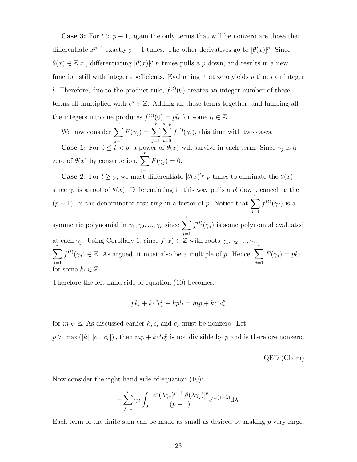**Case 3:** For  $t > p - 1$ , again the only terms that will be nonzero are those that differentiate  $x^{p-1}$  exactly  $p-1$  times. The other derivatives go to  $[\theta(x)]^p$ . Since  $\theta(x) \in \mathbb{Z}[x]$ , differentiating  $[\theta(x)]^p$  *n* times pulls a *p* down, and results in a new function still with integer coefficients. Evaluating it at zero yields  $p$  times an integer l. Therefore, due to the product rule,  $f^{(t)}(0)$  creates an integer number of these terms all multiplied with  $c^s \in \mathbb{Z}$ . Adding all these terms together, and lumping all the integers into one produces  $f^{(t)}(0) = pl_t$  for some  $l_t \in \mathbb{Z}$ .

We now consider  $\sum_{r=1}^{r}$  $j=1$  $F(\gamma_j) = \sum^r$  $j=1$  $\sum^{s+p}$  $t=0$  $f^{(t)}(\gamma_i)$ , this time with two cases. **Case 1:** For  $0 \le t < p$ , a power of  $\theta(x)$  will survive in each term. Since  $\gamma_j$  is a

zero of  $\theta(x)$  by construction,  $\sum_{r=1}^{r}$  $j=1$  $F(\gamma_j) = 0.$ 

**Case 2:** For  $t \geq p$ , we must differentiate  $[\theta(x)]^p p$  times to eliminate the  $\theta(x)$ since  $\gamma_j$  is a root of  $\theta(x)$ . Differentiating in this way pulls a p! down, canceling the  $(p-1)!$  in the denominator resulting in a factor of p. Notice that  $\sum_{r=1}^{r}$  $j=1$  $f^{(t)}(\gamma_j)$  is a

symmetric polynomial in  $\gamma_1, \gamma_2, ..., \gamma_r$  since  $\sum^r$  $j=1$  $f^{(t)}(\gamma_i)$  is some polynomial evaluated at each  $\gamma_j$ . Using Corollary 1, since  $f(x) \in \mathbb{Z}$  with roots  $\gamma_1, \gamma_2, ..., \gamma_r$ ,  $\sum_{r}$  $j=1$  $f^{(t)}(\gamma_j) \in \mathbb{Z}$ . As argued, it must also be a multiple of p. Hence,  $\sum_{i=1}^{r}$  $j=1$  $F(\gamma_j) = p k_t$ for some  $k_t \in \mathbb{Z}$ .

Therefore the left hand side of equation (10) becomes:

$$
pk_t + kc^s c_r^p + kpl_t = mp + kc^s c_r^p
$$

for  $m \in \mathbb{Z}$ . As discussed earlier k, c, and  $c_r$  must be nonzero. Let  $p > \max(|k|, |c|, |c_r|)$ , then  $mp + k c^s c_r^p$  is not divisible by p and is therefore nonzero.

QED (Claim)

Now consider the right hand side of equation (10):

$$
-\sum_{j=1}^r \gamma_j \int_0^1 \frac{c^s (\lambda \gamma_j)^{p-1} [\theta(\lambda \gamma_j)]^p}{(p-1)!} e^{\gamma_j (1-\lambda)} d\lambda.
$$

Each term of the finite sum can be made as small as desired by making  $p$  very large.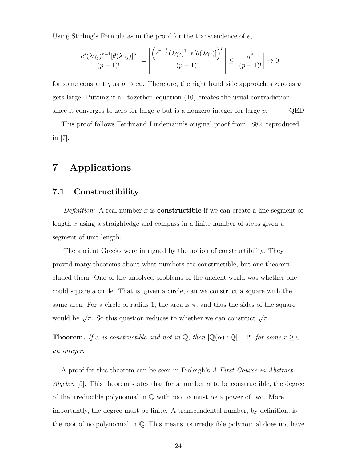Using Stirling's Formula as in the proof for the transcendence of  $e$ ,

$$
\left|\frac{c^s(\lambda\gamma_j)^{p-1}[\theta(\lambda\gamma_j)]^p}{(p-1)!}\right| = \left|\frac{\left(c^{r-\frac{1}{p}}(\lambda\gamma_j)^{1-\frac{1}{p}}[\theta(\lambda\gamma_j)]\right)^p}{(p-1)!}\right| \le \left|\frac{q^p}{(p-1)!}\right| \to 0
$$

for some constant q as  $p \to \infty$ . Therefore, the right hand side approaches zero as p gets large. Putting it all together, equation (10) creates the usual contradiction since it converges to zero for large p but is a nonzero integer for large  $p$ . QED

This proof follows Ferdinand Lindemann's original proof from 1882, reproduced in [7].

# 7 Applications

### 7.1 Constructibility

*Definition:* A real number x is **constructible** if we can create a line segment of length x using a straightedge and compass in a finite number of steps given a segment of unit length.

The ancient Greeks were intrigued by the notion of constructibility. They proved many theorems about what numbers are constructible, but one theorem eluded them. One of the unsolved problems of the ancient world was whether one could square a circle. That is, given a circle, can we construct a square with the same area. For a circle of radius 1, the area is  $\pi$ , and thus the sides of the square would be  $\sqrt{\pi}$ . So this question reduces to whether we can construct  $\sqrt{\pi}$ .

**Theorem.** If  $\alpha$  is constructible and not in  $\mathbb{Q}$ , then  $[\mathbb{Q}(\alpha):\mathbb{Q}] = 2^r$  for some  $r \geq 0$ an integer.

A proof for this theorem can be seen in Fraleigh's A First Course in Abstract Algebra [5]. This theorem states that for a number  $\alpha$  to be constructible, the degree of the irreducible polynomial in  $\mathbb Q$  with root  $\alpha$  must be a power of two. More importantly, the degree must be finite. A transcendental number, by definition, is the root of no polynomial in  $\mathbb{Q}$ . This means its irreducible polynomial does not have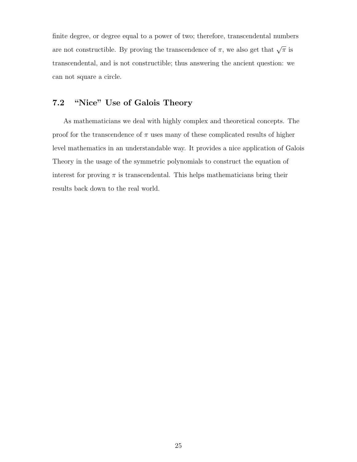finite degree, or degree equal to a power of two; therefore, transcendental numbers are not constructible. By proving the transcendence of  $\pi$ , we also get that  $\sqrt{\pi}$  is transcendental, and is not constructible; thus answering the ancient question: we can not square a circle.

## 7.2 "Nice" Use of Galois Theory

As mathematicians we deal with highly complex and theoretical concepts. The proof for the transcendence of  $\pi$  uses many of these complicated results of higher level mathematics in an understandable way. It provides a nice application of Galois Theory in the usage of the symmetric polynomials to construct the equation of interest for proving  $\pi$  is transcendental. This helps mathematicians bring their results back down to the real world.